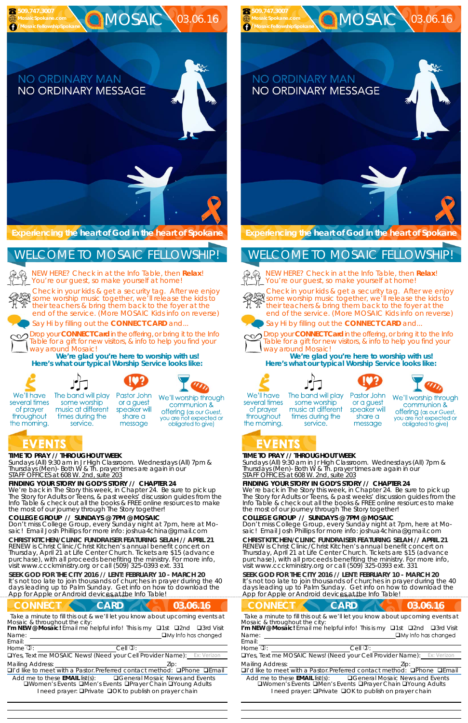#### EVENTS **TIME TO PRAY // THROUGHOUT WEEK**

*Sundays* (All) 9:30 am in Jr High Classroom. *Wednesdays* (All) 7pm & *Thursdays* (Men)- Both W & Th. prayer times are again in our *STAFF OFFICES at 608 W. 2nd, suite 203*

#### **FINDING YOUR STORY IN GOD'S STORY // CHAPTER 24**

We're back in The Story this week, in Chapter 24. Be sure to pick up The Story for Adults or Teens, & past weeks' discussion guides from the Info Table & check out all the books & FREE online resources to make the most of our journey through The Story together!

**SEEK GOD FOR THE CITY 2016 // LENT: FEBRUARY 10 - MARCH 20**  It's not too late to join thousands of churches in prayer during the 40 days leading up to Palm Sunday. Get info on how to download the App for Apple or Android devices at the Info Table!

## **CONNECT CARD 103.06.16**

#### **COLLEGE GROUP // SUNDAYS @ 7PM @ MOSAIC**

service.

Don't miss College Group, every Sunday night at 7pm, here at Mosaic! Email Josh Phillips for more info: joshua4china@gmail.com

NEW HERE? Check in at the Info Table, then **Relax**! You're our guest, so make yourself at home!

**CHRIST KITCHEN/CLINIC FUNDRAISER FEATURING SELAH // APRIL 21**  RENEW is Christ Clinic/Christ Kitchen's annual benefit concert on Thursday, April 21 at Life Center Church. Tickets are \$15 (advance purchase), with all proceeds benefiting the ministry. For more info, visit www.ccckministry.org or call (509) 325-0393 ext. 331

Name: I'm NEW @ Mosaic! Email me helpful info! This is my **Q1st Q2nd Q3rd Visit** 

**Experiencing the heart of God in the heart of Spokane** 

Check in your kids & get a security tag. After we enjoy Sheck in your kids a get a security tag. After we enjoy their teachers & bring them back to the foyer at the end of the service. (More MOSAIC Kids info on reverse)







Say Hi by filling out the **CONNECT CARD** and...

**SEEK GOD FOR THE CITY 2016 // LENT: FEBRUARY 10 - MARCH 20**  It's not too late to join thousands of churches in prayer during the 40 days leading up to Palm Sunday. Get info on how to download the App for Apple or Android devices at the Info Table!

**CONNECT CARD 103.06.16** *Take a minute to fill this out & we'll let you know about upcoming events at* Name: Email: Home  $\mathbb{D}$ :  $\qquad \qquad \text{Cell } \mathbb{D}$ : *Mosaic & throughout the city:*  I'm NEW @ Mosaic! Email me helpful info! This is my **Q1st Q2nd Q3rd Visit** 

UYes, Text me MOSAIC News! (Need your Cell Provider Name):

Drop your **CONNECT Card** in the offering, or bring it to the Info Table for a gift for new visitors, & info to help you find your way around Mosaic!

**We're glad you're here to worship with us! Here's what our typical Worship Service looks like:** 



several times

of prayer

throughout

the morning.







some worship or a guest music at different speaker will times during the share a message

We'll worship through communion & **offering** (as our Guest, you are not expected or obligated to give)

NEW HERE? Check in at the Info Table, then **Relax**! You're our guest, so make yourself at home!



## WELCOME TO MOSAIC FELLOWSHIP!

Email:

*Take a minute to fill this out & we'll let you know about upcoming events at Mosaic & throughout the city:* 

 

Home  $\mathbb{D}$ :  $\qquad \qquad \text{Cell } \mathbb{D}$ :

**QYes, Text me MOSAIC News! (Need your Cell Provider Name):** 

Mailing Address: **Mailing Address: 2ip:** 

 $\Box$ I'd like to meet with a Pastor. Preferred contact method:  $\Box$ Phone  $\Box$ Email

Add me to these **EMAIL** list(s): General Mosaic News and Events **QWomen's Events QMen's Events QPrayer Chain QYoung Adults** I need prayer: **QPrivate QOK to publish on prayer chain** 

#### **TIME TO PRAY // THROUGHOUT WEEK**

*Sundays* (All) 9:30 am in Jr High Classroom. *Wednesdays* (All) 7pm & *Thursdays* (Men)- Both W & Th. prayer times are again in our *STAFF OFFICES at 608 W. 2nd, suite 203*

#### **FINDING YOUR STORY IN GOD'S STORY // CHAPTER 24**

We're back in The Story this week, in Chapter 24. Be sure to pick up The Story for Adults or Teens, & past weeks' discussion guides from the Info Table & check out all the books & FREE online resources to make the most of our journey through The Story together!

#### **COLLEGE GROUP // SUNDAYS @ 7PM @ MOSAIC**

Don't miss College Group, every Sunday night at 7pm, here at Mosaic! Email Josh Phillips for more info: joshua4china@gmail.com

#### **CHRIST KITCHEN/CLINIC FUNDRAISER FEATURING SELAH // APRIL 21**  RENEW is Christ Clinic/Christ Kitchen's annual benefit concert on Thursday, April 21 at Life Center Church. Tickets are \$15 (advance purchase), with all proceeds benefiting the ministry. For more info, visit www.ccckministry.org or call (509) 325-0393 ext. 331

**Experiencing the heart of God in the heart of Spokane** 

Check in your kids & get a security tag. After we enjoy some worship music together, we'll release the kids to their teachers & bring them back to the foyer at the end of the service. (More MOSAIC Kids info on reverse)





Say Hi by filling out the **CONNECT CARD** and...



Drop your **CONNECT Card** in the offering, or bring it to the Info Table for a gift for new visitors, & info to help you find your way around Mosaic!

**We're glad you're here to worship with us! Here's what our typical Worship Service looks like:** 









We'll have several times of prayer throughout the morning.

The band will play some worship music at different times during the service.

Pastor John or a guest speaker will share a message



# EVENTS

 **509.747.3007** 

## WELCOME TO MOSAIC FELLOWSHIP!



Mailing Address: Zip:

 

 $\Box$ I'd like to meet with a Pastor. Preferred contact method:  $\Box$ Phone  $\Box$ Email

Add me to these **EMAIL** list(s): General Mosaic News and Events **QWomen's Events QMen's Events QPrayer Chain QYoung Adults** I need prayer: **QPrivate QOK to publish on prayer chain**